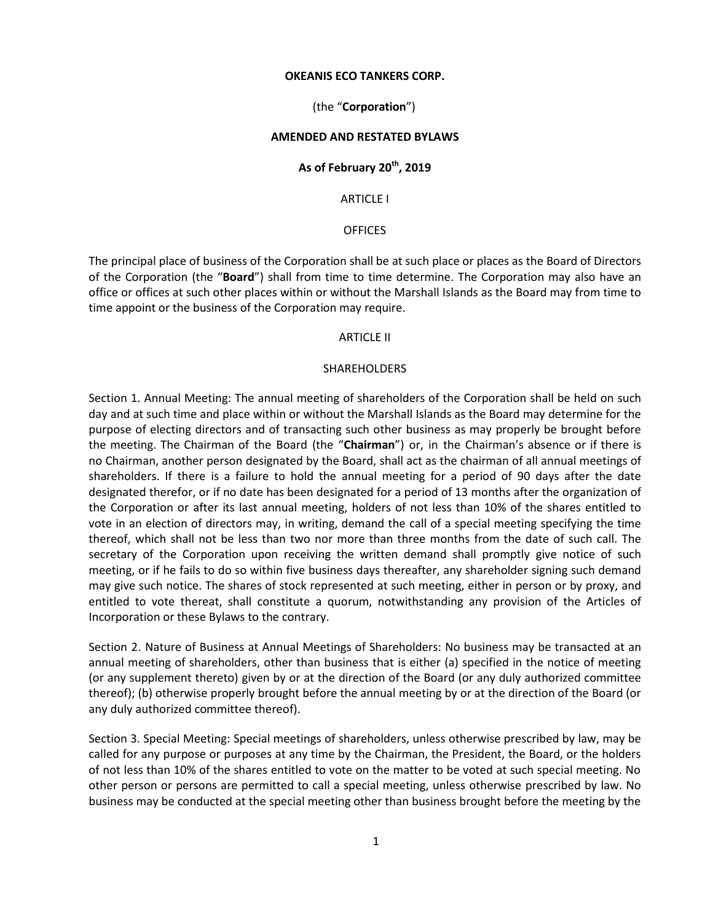# **OKEANIS ECO TANKERS CORP.**

# (the "**Corporation**")

# **AMENDED AND RESTATED BYLAWS**

# **As of February 20th , 2019**

ARTICLE I

# **OFFICES**

The principal place of business of the Corporation shall be at such place or places as the Board of Directors of the Corporation (the "**Board**") shall from time to time determine. The Corporation may also have an office or offices at such other places within or without the Marshall Islands as the Board may from time to time appoint or the business of the Corporation may require.

#### ARTICLE II

#### SHAREHOLDERS

Section 1. Annual Meeting: The annual meeting of shareholders of the Corporation shall be held on such day and at such time and place within or without the Marshall Islands as the Board may determine for the purpose of electing directors and of transacting such other business as may properly be brought before the meeting. The Chairman of the Board (the "**Chairman**") or, in the Chairman's absence or if there is no Chairman, another person designated by the Board, shall act as the chairman of all annual meetings of shareholders. If there is a failure to hold the annual meeting for a period of 90 days after the date designated therefor, or if no date has been designated for a period of 13 months after the organization of the Corporation or after its last annual meeting, holders of not less than 10% of the shares entitled to vote in an election of directors may, in writing, demand the call of a special meeting specifying the time thereof, which shall not be less than two nor more than three months from the date of such call. The secretary of the Corporation upon receiving the written demand shall promptly give notice of such meeting, or if he fails to do so within five business days thereafter, any shareholder signing such demand may give such notice. The shares of stock represented at such meeting, either in person or by proxy, and entitled to vote thereat, shall constitute a quorum, notwithstanding any provision of the Articles of Incorporation or these Bylaws to the contrary.

Section 2. Nature of Business at Annual Meetings of Shareholders: No business may be transacted at an annual meeting of shareholders, other than business that is either (a) specified in the notice of meeting (or any supplement thereto) given by or at the direction of the Board (or any duly authorized committee thereof); (b) otherwise properly brought before the annual meeting by or at the direction of the Board (or any duly authorized committee thereof).

Section 3. Special Meeting: Special meetings of shareholders, unless otherwise prescribed by law, may be called for any purpose or purposes at any time by the Chairman, the President, the Board, or the holders of not less than 10% of the shares entitled to vote on the matter to be voted at such special meeting. No other person or persons are permitted to call a special meeting, unless otherwise prescribed by law. No business may be conducted at the special meeting other than business brought before the meeting by the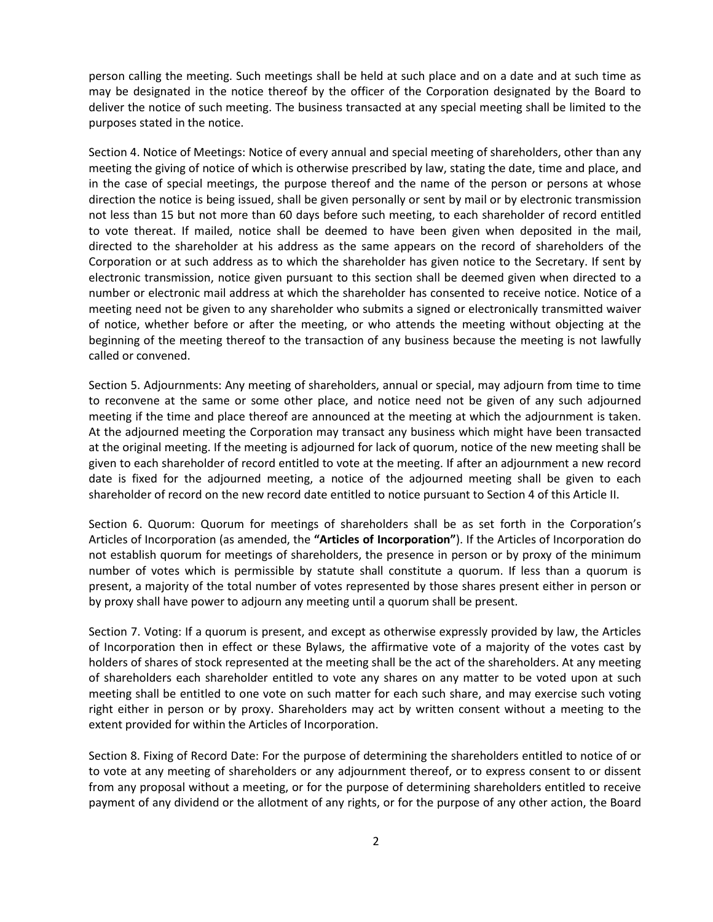person calling the meeting. Such meetings shall be held at such place and on a date and at such time as may be designated in the notice thereof by the officer of the Corporation designated by the Board to deliver the notice of such meeting. The business transacted at any special meeting shall be limited to the purposes stated in the notice.

Section 4. Notice of Meetings: Notice of every annual and special meeting of shareholders, other than any meeting the giving of notice of which is otherwise prescribed by law, stating the date, time and place, and in the case of special meetings, the purpose thereof and the name of the person or persons at whose direction the notice is being issued, shall be given personally or sent by mail or by electronic transmission not less than 15 but not more than 60 days before such meeting, to each shareholder of record entitled to vote thereat. If mailed, notice shall be deemed to have been given when deposited in the mail, directed to the shareholder at his address as the same appears on the record of shareholders of the Corporation or at such address as to which the shareholder has given notice to the Secretary. If sent by electronic transmission, notice given pursuant to this section shall be deemed given when directed to a number or electronic mail address at which the shareholder has consented to receive notice. Notice of a meeting need not be given to any shareholder who submits a signed or electronically transmitted waiver of notice, whether before or after the meeting, or who attends the meeting without objecting at the beginning of the meeting thereof to the transaction of any business because the meeting is not lawfully called or convened.

Section 5. Adjournments: Any meeting of shareholders, annual or special, may adjourn from time to time to reconvene at the same or some other place, and notice need not be given of any such adjourned meeting if the time and place thereof are announced at the meeting at which the adjournment is taken. At the adjourned meeting the Corporation may transact any business which might have been transacted at the original meeting. If the meeting is adjourned for lack of quorum, notice of the new meeting shall be given to each shareholder of record entitled to vote at the meeting. If after an adjournment a new record date is fixed for the adjourned meeting, a notice of the adjourned meeting shall be given to each shareholder of record on the new record date entitled to notice pursuant to Section 4 of this Article II.

Section 6. Quorum: Quorum for meetings of shareholders shall be as set forth in the Corporation's Articles of Incorporation (as amended, the **"Articles of Incorporation"**). If the Articles of Incorporation do not establish quorum for meetings of shareholders, the presence in person or by proxy of the minimum number of votes which is permissible by statute shall constitute a quorum. If less than a quorum is present, a majority of the total number of votes represented by those shares present either in person or by proxy shall have power to adjourn any meeting until a quorum shall be present.

Section 7. Voting: If a quorum is present, and except as otherwise expressly provided by law, the Articles of Incorporation then in effect or these Bylaws, the affirmative vote of a majority of the votes cast by holders of shares of stock represented at the meeting shall be the act of the shareholders. At any meeting of shareholders each shareholder entitled to vote any shares on any matter to be voted upon at such meeting shall be entitled to one vote on such matter for each such share, and may exercise such voting right either in person or by proxy. Shareholders may act by written consent without a meeting to the extent provided for within the Articles of Incorporation.

Section 8. Fixing of Record Date: For the purpose of determining the shareholders entitled to notice of or to vote at any meeting of shareholders or any adjournment thereof, or to express consent to or dissent from any proposal without a meeting, or for the purpose of determining shareholders entitled to receive payment of any dividend or the allotment of any rights, or for the purpose of any other action, the Board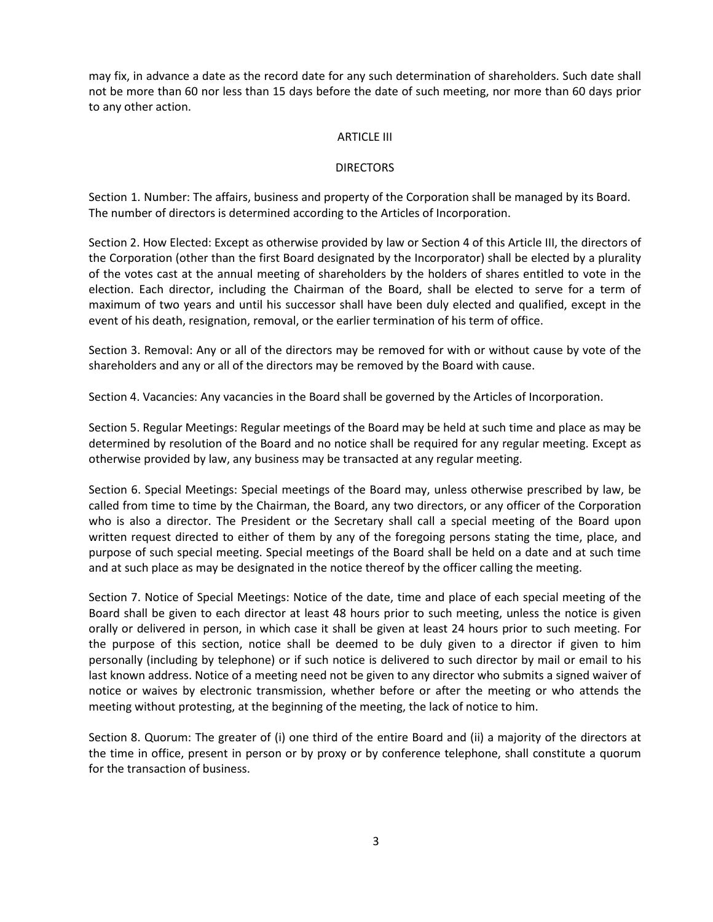may fix, in advance a date as the record date for any such determination of shareholders. Such date shall not be more than 60 nor less than 15 days before the date of such meeting, nor more than 60 days prior to any other action.

# ARTICLE III

# **DIRECTORS**

Section 1. Number: The affairs, business and property of the Corporation shall be managed by its Board. The number of directors is determined according to the Articles of Incorporation.

Section 2. How Elected: Except as otherwise provided by law or Section 4 of this Article III, the directors of the Corporation (other than the first Board designated by the Incorporator) shall be elected by a plurality of the votes cast at the annual meeting of shareholders by the holders of shares entitled to vote in the election. Each director, including the Chairman of the Board, shall be elected to serve for a term of maximum of two years and until his successor shall have been duly elected and qualified, except in the event of his death, resignation, removal, or the earlier termination of his term of office.

Section 3. Removal: Any or all of the directors may be removed for with or without cause by vote of the shareholders and any or all of the directors may be removed by the Board with cause.

Section 4. Vacancies: Any vacancies in the Board shall be governed by the Articles of Incorporation.

Section 5. Regular Meetings: Regular meetings of the Board may be held at such time and place as may be determined by resolution of the Board and no notice shall be required for any regular meeting. Except as otherwise provided by law, any business may be transacted at any regular meeting.

Section 6. Special Meetings: Special meetings of the Board may, unless otherwise prescribed by law, be called from time to time by the Chairman, the Board, any two directors, or any officer of the Corporation who is also a director. The President or the Secretary shall call a special meeting of the Board upon written request directed to either of them by any of the foregoing persons stating the time, place, and purpose of such special meeting. Special meetings of the Board shall be held on a date and at such time and at such place as may be designated in the notice thereof by the officer calling the meeting.

Section 7. Notice of Special Meetings: Notice of the date, time and place of each special meeting of the Board shall be given to each director at least 48 hours prior to such meeting, unless the notice is given orally or delivered in person, in which case it shall be given at least 24 hours prior to such meeting. For the purpose of this section, notice shall be deemed to be duly given to a director if given to him personally (including by telephone) or if such notice is delivered to such director by mail or email to his last known address. Notice of a meeting need not be given to any director who submits a signed waiver of notice or waives by electronic transmission, whether before or after the meeting or who attends the meeting without protesting, at the beginning of the meeting, the lack of notice to him.

Section 8. Quorum: The greater of (i) one third of the entire Board and (ii) a majority of the directors at the time in office, present in person or by proxy or by conference telephone, shall constitute a quorum for the transaction of business.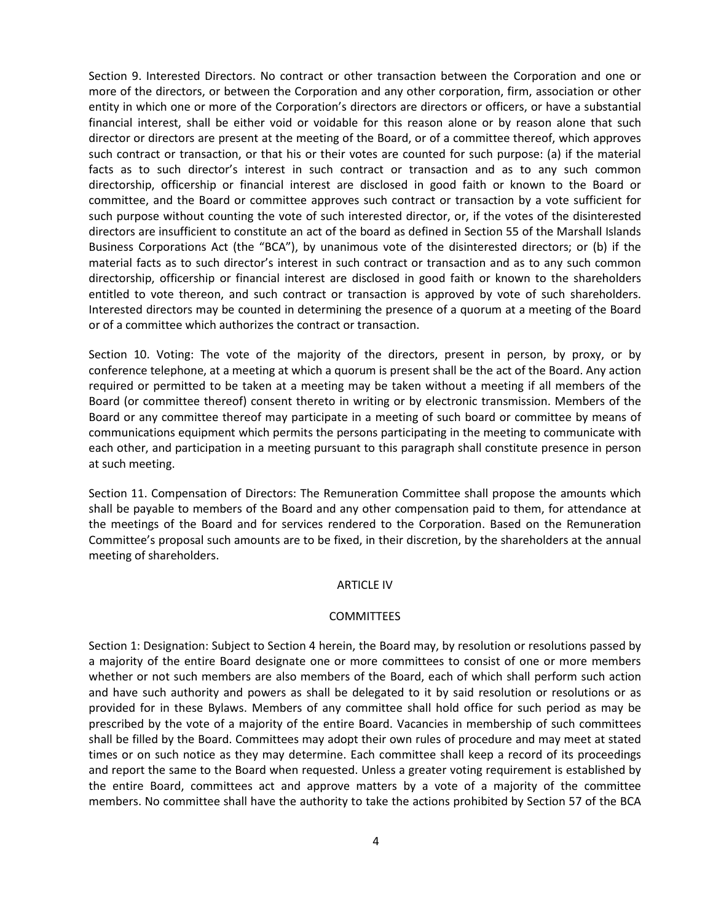Section 9. Interested Directors. No contract or other transaction between the Corporation and one or more of the directors, or between the Corporation and any other corporation, firm, association or other entity in which one or more of the Corporation's directors are directors or officers, or have a substantial financial interest, shall be either void or voidable for this reason alone or by reason alone that such director or directors are present at the meeting of the Board, or of a committee thereof, which approves such contract or transaction, or that his or their votes are counted for such purpose: (a) if the material facts as to such director's interest in such contract or transaction and as to any such common directorship, officership or financial interest are disclosed in good faith or known to the Board or committee, and the Board or committee approves such contract or transaction by a vote sufficient for such purpose without counting the vote of such interested director, or, if the votes of the disinterested directors are insufficient to constitute an act of the board as defined in Section 55 of the Marshall Islands Business Corporations Act (the "BCA"), by unanimous vote of the disinterested directors; or (b) if the material facts as to such director's interest in such contract or transaction and as to any such common directorship, officership or financial interest are disclosed in good faith or known to the shareholders entitled to vote thereon, and such contract or transaction is approved by vote of such shareholders. Interested directors may be counted in determining the presence of a quorum at a meeting of the Board or of a committee which authorizes the contract or transaction.

Section 10. Voting: The vote of the majority of the directors, present in person, by proxy, or by conference telephone, at a meeting at which a quorum is present shall be the act of the Board. Any action required or permitted to be taken at a meeting may be taken without a meeting if all members of the Board (or committee thereof) consent thereto in writing or by electronic transmission. Members of the Board or any committee thereof may participate in a meeting of such board or committee by means of communications equipment which permits the persons participating in the meeting to communicate with each other, and participation in a meeting pursuant to this paragraph shall constitute presence in person at such meeting.

Section 11. Compensation of Directors: The Remuneration Committee shall propose the amounts which shall be payable to members of the Board and any other compensation paid to them, for attendance at the meetings of the Board and for services rendered to the Corporation. Based on the Remuneration Committee's proposal such amounts are to be fixed, in their discretion, by the shareholders at the annual meeting of shareholders.

# ARTICLE IV

# COMMITTEES

Section 1: Designation: Subject to Section 4 herein, the Board may, by resolution or resolutions passed by a majority of the entire Board designate one or more committees to consist of one or more members whether or not such members are also members of the Board, each of which shall perform such action and have such authority and powers as shall be delegated to it by said resolution or resolutions or as provided for in these Bylaws. Members of any committee shall hold office for such period as may be prescribed by the vote of a majority of the entire Board. Vacancies in membership of such committees shall be filled by the Board. Committees may adopt their own rules of procedure and may meet at stated times or on such notice as they may determine. Each committee shall keep a record of its proceedings and report the same to the Board when requested. Unless a greater voting requirement is established by the entire Board, committees act and approve matters by a vote of a majority of the committee members. No committee shall have the authority to take the actions prohibited by Section 57 of the BCA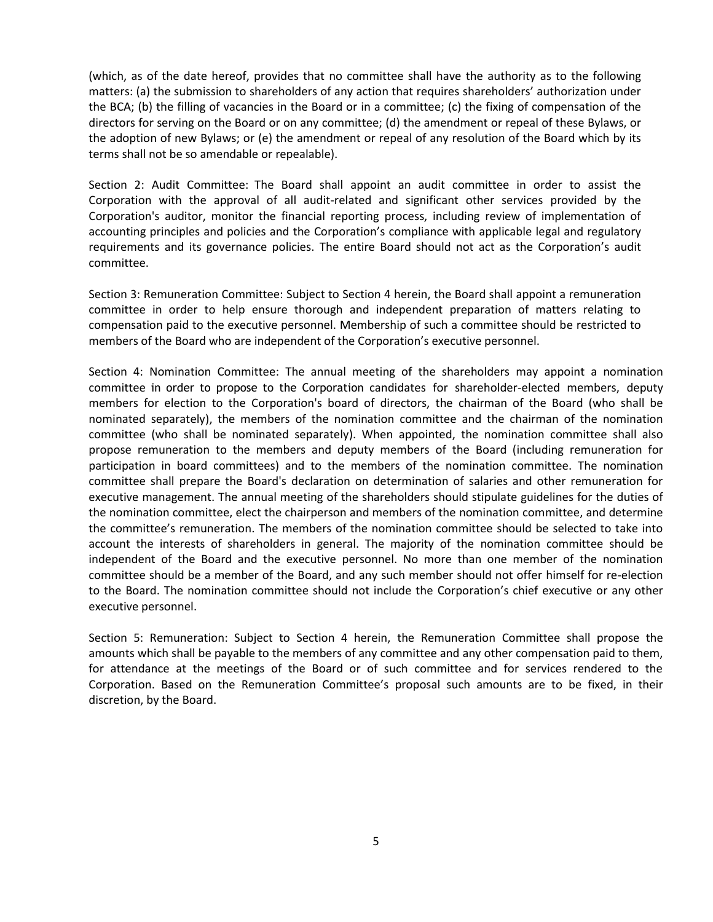(which, as of the date hereof, provides that no committee shall have the authority as to the following matters: (a) the submission to shareholders of any action that requires shareholders' authorization under the BCA; (b) the filling of vacancies in the Board or in a committee; (c) the fixing of compensation of the directors for serving on the Board or on any committee; (d) the amendment or repeal of these Bylaws, or the adoption of new Bylaws; or (e) the amendment or repeal of any resolution of the Board which by its terms shall not be so amendable or repealable).

Section 2: Audit Committee: The Board shall appoint an audit committee in order to assist the Corporation with the approval of all audit-related and significant other services provided by the Corporation's auditor, monitor the financial reporting process, including review of implementation of accounting principles and policies and the Corporation's compliance with applicable legal and regulatory requirements and its governance policies. The entire Board should not act as the Corporation's audit committee.

Section 3: Remuneration Committee: Subject to Section 4 herein, the Board shall appoint a remuneration committee in order to help ensure thorough and independent preparation of matters relating to compensation paid to the executive personnel. Membership of such a committee should be restricted to members of the Board who are independent of the Corporation's executive personnel.

Section 4: Nomination Committee: The annual meeting of the shareholders may appoint a nomination committee in order to propose to the Corporation candidates for shareholder-elected members, deputy members for election to the Corporation's board of directors, the chairman of the Board (who shall be nominated separately), the members of the nomination committee and the chairman of the nomination committee (who shall be nominated separately). When appointed, the nomination committee shall also propose remuneration to the members and deputy members of the Board (including remuneration for participation in board committees) and to the members of the nomination committee. The nomination committee shall prepare the Board's declaration on determination of salaries and other remuneration for executive management. The annual meeting of the shareholders should stipulate guidelines for the duties of the nomination committee, elect the chairperson and members of the nomination committee, and determine the committee's remuneration. The members of the nomination committee should be selected to take into account the interests of shareholders in general. The majority of the nomination committee should be independent of the Board and the executive personnel. No more than one member of the nomination committee should be a member of the Board, and any such member should not offer himself for re-election to the Board. The nomination committee should not include the Corporation's chief executive or any other executive personnel.

Section 5: Remuneration: Subject to Section 4 herein, the Remuneration Committee shall propose the amounts which shall be payable to the members of any committee and any other compensation paid to them, for attendance at the meetings of the Board or of such committee and for services rendered to the Corporation. Based on the Remuneration Committee's proposal such amounts are to be fixed, in their discretion, by the Board.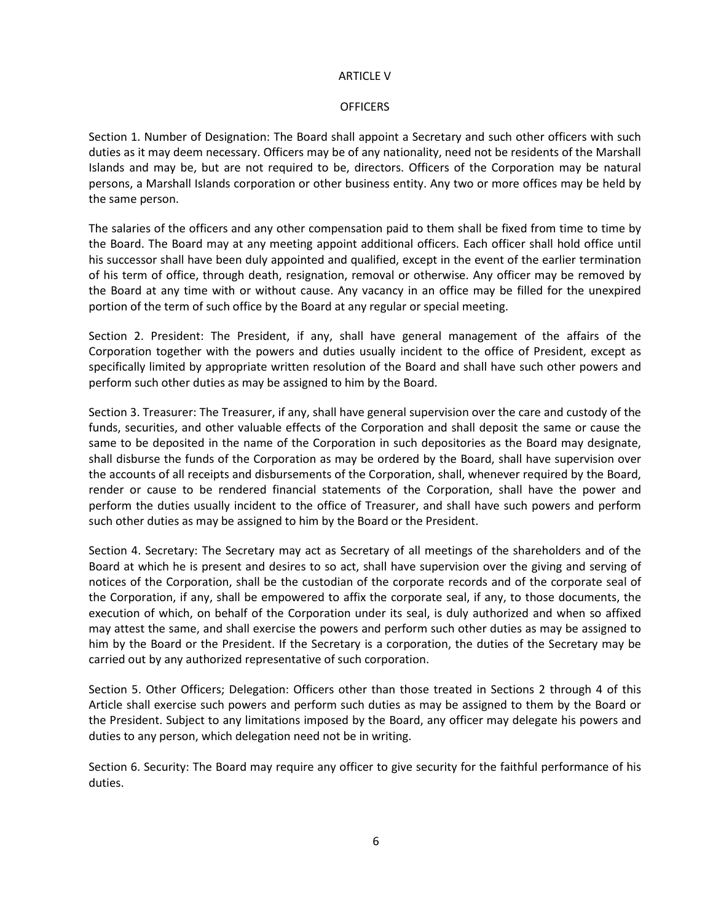# ARTICLE V

# **OFFICERS**

Section 1. Number of Designation: The Board shall appoint a Secretary and such other officers with such duties as it may deem necessary. Officers may be of any nationality, need not be residents of the Marshall Islands and may be, but are not required to be, directors. Officers of the Corporation may be natural persons, a Marshall Islands corporation or other business entity. Any two or more offices may be held by the same person.

The salaries of the officers and any other compensation paid to them shall be fixed from time to time by the Board. The Board may at any meeting appoint additional officers. Each officer shall hold office until his successor shall have been duly appointed and qualified, except in the event of the earlier termination of his term of office, through death, resignation, removal or otherwise. Any officer may be removed by the Board at any time with or without cause. Any vacancy in an office may be filled for the unexpired portion of the term of such office by the Board at any regular or special meeting.

Section 2. President: The President, if any, shall have general management of the affairs of the Corporation together with the powers and duties usually incident to the office of President, except as specifically limited by appropriate written resolution of the Board and shall have such other powers and perform such other duties as may be assigned to him by the Board.

Section 3. Treasurer: The Treasurer, if any, shall have general supervision over the care and custody of the funds, securities, and other valuable effects of the Corporation and shall deposit the same or cause the same to be deposited in the name of the Corporation in such depositories as the Board may designate, shall disburse the funds of the Corporation as may be ordered by the Board, shall have supervision over the accounts of all receipts and disbursements of the Corporation, shall, whenever required by the Board, render or cause to be rendered financial statements of the Corporation, shall have the power and perform the duties usually incident to the office of Treasurer, and shall have such powers and perform such other duties as may be assigned to him by the Board or the President.

Section 4. Secretary: The Secretary may act as Secretary of all meetings of the shareholders and of the Board at which he is present and desires to so act, shall have supervision over the giving and serving of notices of the Corporation, shall be the custodian of the corporate records and of the corporate seal of the Corporation, if any, shall be empowered to affix the corporate seal, if any, to those documents, the execution of which, on behalf of the Corporation under its seal, is duly authorized and when so affixed may attest the same, and shall exercise the powers and perform such other duties as may be assigned to him by the Board or the President. If the Secretary is a corporation, the duties of the Secretary may be carried out by any authorized representative of such corporation.

Section 5. Other Officers; Delegation: Officers other than those treated in Sections 2 through 4 of this Article shall exercise such powers and perform such duties as may be assigned to them by the Board or the President. Subject to any limitations imposed by the Board, any officer may delegate his powers and duties to any person, which delegation need not be in writing.

Section 6. Security: The Board may require any officer to give security for the faithful performance of his duties.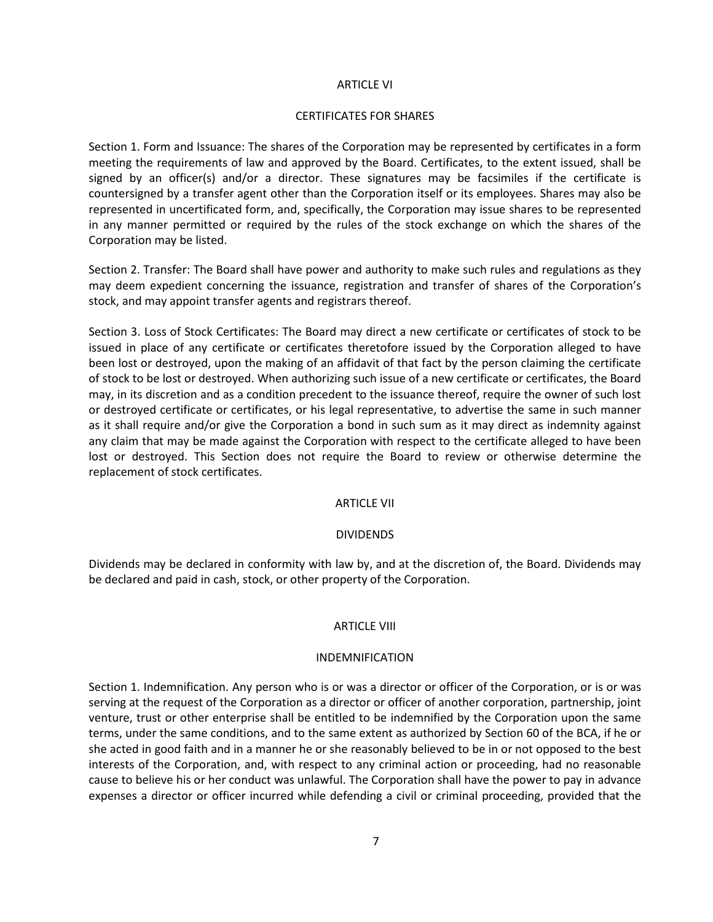# ARTICLE VI

# CERTIFICATES FOR SHARES

Section 1. Form and Issuance: The shares of the Corporation may be represented by certificates in a form meeting the requirements of law and approved by the Board. Certificates, to the extent issued, shall be signed by an officer(s) and/or a director. These signatures may be facsimiles if the certificate is countersigned by a transfer agent other than the Corporation itself or its employees. Shares may also be represented in uncertificated form, and, specifically, the Corporation may issue shares to be represented in any manner permitted or required by the rules of the stock exchange on which the shares of the Corporation may be listed.

Section 2. Transfer: The Board shall have power and authority to make such rules and regulations as they may deem expedient concerning the issuance, registration and transfer of shares of the Corporation's stock, and may appoint transfer agents and registrars thereof.

Section 3. Loss of Stock Certificates: The Board may direct a new certificate or certificates of stock to be issued in place of any certificate or certificates theretofore issued by the Corporation alleged to have been lost or destroyed, upon the making of an affidavit of that fact by the person claiming the certificate of stock to be lost or destroyed. When authorizing such issue of a new certificate or certificates, the Board may, in its discretion and as a condition precedent to the issuance thereof, require the owner of such lost or destroyed certificate or certificates, or his legal representative, to advertise the same in such manner as it shall require and/or give the Corporation a bond in such sum as it may direct as indemnity against any claim that may be made against the Corporation with respect to the certificate alleged to have been lost or destroyed. This Section does not require the Board to review or otherwise determine the replacement of stock certificates.

# ARTICLE VII

## DIVIDENDS

Dividends may be declared in conformity with law by, and at the discretion of, the Board. Dividends may be declared and paid in cash, stock, or other property of the Corporation.

## ARTICLE VIII

## INDEMNIFICATION

Section 1. Indemnification. Any person who is or was a director or officer of the Corporation, or is or was serving at the request of the Corporation as a director or officer of another corporation, partnership, joint venture, trust or other enterprise shall be entitled to be indemnified by the Corporation upon the same terms, under the same conditions, and to the same extent as authorized by Section 60 of the BCA, if he or she acted in good faith and in a manner he or she reasonably believed to be in or not opposed to the best interests of the Corporation, and, with respect to any criminal action or proceeding, had no reasonable cause to believe his or her conduct was unlawful. The Corporation shall have the power to pay in advance expenses a director or officer incurred while defending a civil or criminal proceeding, provided that the